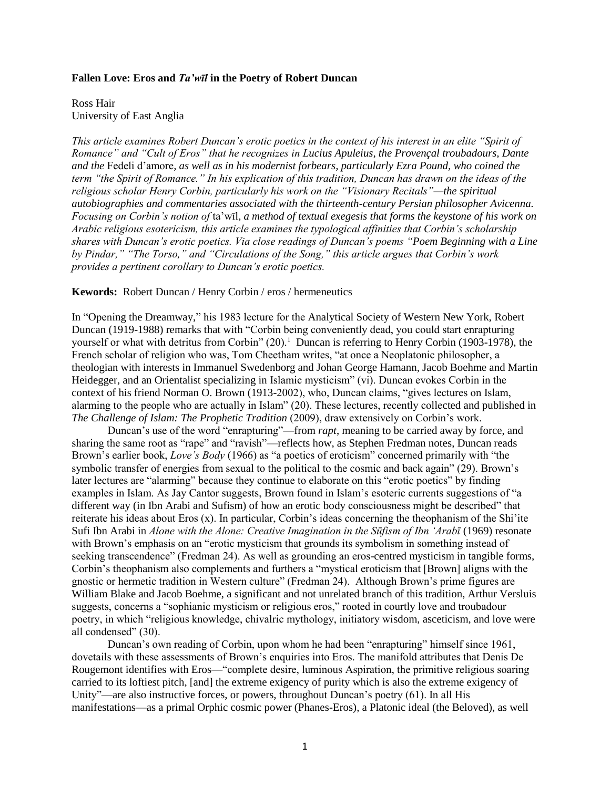#### **Fallen Love: Eros and** *Ta'wīl* **in the Poetry of Robert Duncan**

Ross Hair University of East Anglia

*This article examines Robert Duncan's erotic poetics in the context of his interest in an elite "Spirit of Romance" and "Cult of Eros" that he recognizes in Lucius Apuleius, the Provençal troubadours, Dante and the* Fedeli d'amore*, as well as in his modernist forbears, particularly Ezra Pound, who coined the term "the Spirit of Romance." In his explication of this tradition, Duncan has drawn on the ideas of the religious scholar Henry Corbin, particularly his work on the "Visionary Recitals"—the spiritual autobiographies and commentaries associated with the thirteenth-century Persian philosopher Avicenna. Focusing on Corbin's notion of* ta'wīl*, a method of textual exegesis that forms the keystone of his work on Arabic religious esotericism, this article examines the typological affinities that Corbin's scholarship shares with Duncan's erotic poetics. Via close readings of Duncan's poems "Poem Beginning with a Line by Pindar," "The Torso," and "Circulations of the Song," this article argues that Corbin's work provides a pertinent corollary to Duncan's erotic poetics.* 

#### **Kewords:** Robert Duncan / Henry Corbin / eros / hermeneutics

In "Opening the Dreamway," his 1983 lecture for the Analytical Society of Western New York, Robert Duncan (1919-1988) remarks that with "Corbin being conveniently dead, you could start enrapturing yourself or what with detritus from Corbin" (20).<sup>1</sup> Duncan is referring to Henry Corbin (1903-1978), the French scholar of religion who was, Tom Cheetham writes, "at once a Neoplatonic philosopher, a theologian with interests in Immanuel Swedenborg and Johan George Hamann, Jacob Boehme and Martin Heidegger, and an Orientalist specializing in Islamic mysticism" (vi). Duncan evokes Corbin in the context of his friend Norman O. Brown (1913-2002), who, Duncan claims, "gives lectures on Islam, alarming to the people who are actually in Islam" (20). These lectures, recently collected and published in *The Challenge of Islam: The Prophetic Tradition* (2009), draw extensively on Corbin's work.

Duncan's use of the word "enrapturing"—from *rapt*, meaning to be carried away by force, and sharing the same root as "rape" and "ravish"—reflects how, as Stephen Fredman notes, Duncan reads Brown's earlier book, *Love's Body* (1966) as "a poetics of eroticism" concerned primarily with "the symbolic transfer of energies from sexual to the political to the cosmic and back again" (29). Brown's later lectures are "alarming" because they continue to elaborate on this "erotic poetics" by finding examples in Islam. As Jay Cantor suggests, Brown found in Islam's esoteric currents suggestions of "a different way (in Ibn Arabi and Sufism) of how an erotic body consciousness might be described" that reiterate his ideas about Eros (x). In particular, Corbin's ideas concerning the theophanism of the Shi'ite Sufi Ibn Arabi in *Alone with the Alone: Creative Imagination in the Sūfism of Ibn 'Arabī* (1969) resonate with Brown's emphasis on an "erotic mysticism that grounds its symbolism in something instead of seeking transcendence" (Fredman 24). As well as grounding an eros-centred mysticism in tangible forms, Corbin's theophanism also complements and furthers a "mystical eroticism that [Brown] aligns with the gnostic or hermetic tradition in Western culture" (Fredman 24). Although Brown's prime figures are William Blake and Jacob Boehme, a significant and not unrelated branch of this tradition, Arthur Versluis suggests, concerns a "sophianic mysticism or religious eros," rooted in courtly love and troubadour poetry, in which "religious knowledge, chivalric mythology, initiatory wisdom, asceticism, and love were all condensed" (30).

Duncan's own reading of Corbin, upon whom he had been "enrapturing" himself since 1961, dovetails with these assessments of Brown's enquiries into Eros. The manifold attributes that Denis De Rougemont identifies with Eros—"complete desire, luminous Aspiration, the primitive religious soaring carried to its loftiest pitch, [and] the extreme exigency of purity which is also the extreme exigency of Unity"—are also instructive forces, or powers, throughout Duncan's poetry (61). In all His manifestations—as a primal Orphic cosmic power (Phanes-Eros), a Platonic ideal (the Beloved), as well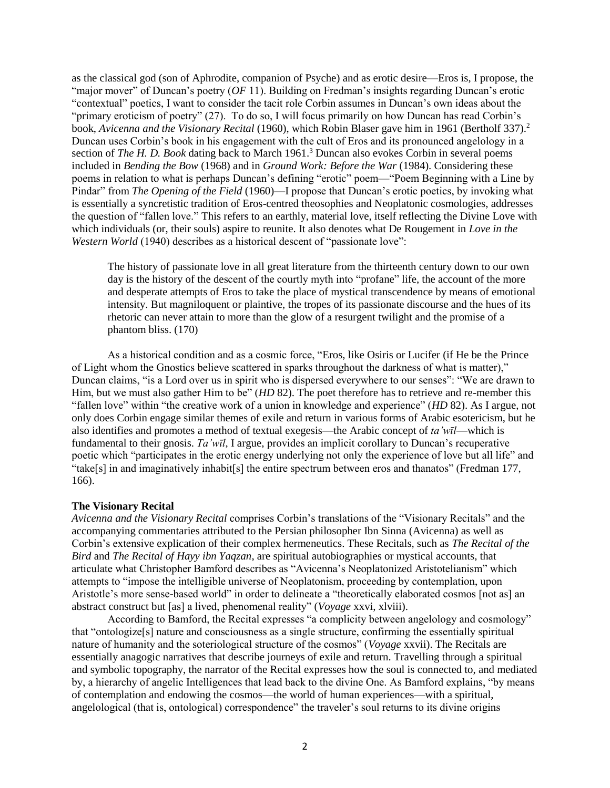as the classical god (son of Aphrodite, companion of Psyche) and as erotic desire—Eros is, I propose, the "major mover" of Duncan's poetry (*OF* 11). Building on Fredman's insights regarding Duncan's erotic "contextual" poetics, I want to consider the tacit role Corbin assumes in Duncan's own ideas about the "primary eroticism of poetry" (27). To do so, I will focus primarily on how Duncan has read Corbin's book, *Avicenna and the Visionary Recital* (1960), which Robin Blaser gave him in 1961 (Bertholf 337).<sup>2</sup> Duncan uses Corbin's book in his engagement with the cult of Eros and its pronounced angelology in a section of *The H. D. Book* dating back to March 1961.<sup>3</sup> Duncan also evokes Corbin in several poems included in *Bending the Bow* (1968) and in *Ground Work: Before the War* (1984). Considering these poems in relation to what is perhaps Duncan's defining "erotic" poem—"Poem Beginning with a Line by Pindar" from *The Opening of the Field* (1960)—I propose that Duncan's erotic poetics, by invoking what is essentially a syncretistic tradition of Eros-centred theosophies and Neoplatonic cosmologies, addresses the question of "fallen love." This refers to an earthly, material love, itself reflecting the Divine Love with which individuals (or, their souls) aspire to reunite. It also denotes what De Rougement in *Love in the Western World* (1940) describes as a historical descent of "passionate love":

The history of passionate love in all great literature from the thirteenth century down to our own day is the history of the descent of the courtly myth into "profane" life, the account of the more and desperate attempts of Eros to take the place of mystical transcendence by means of emotional intensity. But magniloquent or plaintive, the tropes of its passionate discourse and the hues of its rhetoric can never attain to more than the glow of a resurgent twilight and the promise of a phantom bliss. (170)

As a historical condition and as a cosmic force, "Eros, like Osiris or Lucifer (if He be the Prince of Light whom the Gnostics believe scattered in sparks throughout the darkness of what is matter)," Duncan claims, "is a Lord over us in spirit who is dispersed everywhere to our senses": "We are drawn to Him, but we must also gather Him to be" (*HD* 82). The poet therefore has to retrieve and re-member this "fallen love" within "the creative work of a union in knowledge and experience" (*HD* 82). As I argue, not only does Corbin engage similar themes of exile and return in various forms of Arabic esotericism, but he also identifies and promotes a method of textual exegesis—the Arabic concept of *ta'wīl*—which is fundamental to their gnosis. *Ta'wīl*, I argue, provides an implicit corollary to Duncan's recuperative poetic which "participates in the erotic energy underlying not only the experience of love but all life" and "take[s] in and imaginatively inhabit[s] the entire spectrum between eros and thanatos" (Fredman 177, 166).

## **The Visionary Recital**

*Avicenna and the Visionary Recital* comprises Corbin's translations of the "Visionary Recitals" and the accompanying commentaries attributed to the Persian philosopher Ibn Sinna (Avicenna) as well as Corbin's extensive explication of their complex hermeneutics. These Recitals, such as *The Recital of the Bird* and *The Recital of Hayy ibn Yaqzan*, are spiritual autobiographies or mystical accounts, that articulate what Christopher Bamford describes as "Avicenna's Neoplatonized Aristotelianism" which attempts to "impose the intelligible universe of Neoplatonism, proceeding by contemplation, upon Aristotle's more sense-based world" in order to delineate a "theoretically elaborated cosmos [not as] an abstract construct but [as] a lived, phenomenal reality" (*Voyage* xxvi, xlviii).

According to Bamford, the Recital expresses "a complicity between angelology and cosmology" that "ontologize[s] nature and consciousness as a single structure, confirming the essentially spiritual nature of humanity and the soteriological structure of the cosmos" (*Voyage* xxvii). The Recitals are essentially anagogic narratives that describe journeys of exile and return. Travelling through a spiritual and symbolic topography, the narrator of the Recital expresses how the soul is connected to, and mediated by, a hierarchy of angelic Intelligences that lead back to the divine One. As Bamford explains, "by means of contemplation and endowing the cosmos—the world of human experiences—with a spiritual, angelological (that is, ontological) correspondence" the traveler's soul returns to its divine origins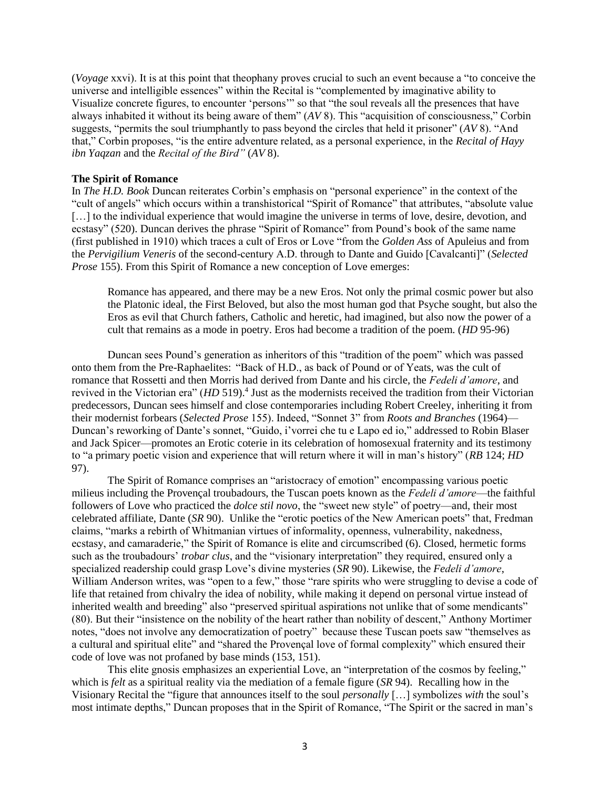(*Voyage* xxvi). It is at this point that theophany proves crucial to such an event because a "to conceive the universe and intelligible essences" within the Recital is "complemented by imaginative ability to Visualize concrete figures, to encounter 'persons'" so that "the soul reveals all the presences that have always inhabited it without its being aware of them" (*AV* 8). This "acquisition of consciousness," Corbin suggests, "permits the soul triumphantly to pass beyond the circles that held it prisoner" (*AV* 8). "And that," Corbin proposes, "is the entire adventure related, as a personal experience, in the *Recital of Hayy ibn Yaqzan* and the *Recital of the Bird"* (*AV* 8).

## **The Spirit of Romance**

In *The H.D. Book* Duncan reiterates Corbin's emphasis on "personal experience" in the context of the "cult of angels" which occurs within a transhistorical "Spirit of Romance" that attributes, "absolute value [...] to the individual experience that would imagine the universe in terms of love, desire, devotion, and ecstasy" (520). Duncan derives the phrase "Spirit of Romance" from Pound's book of the same name (first published in 1910) which traces a cult of Eros or Love "from the *Golden Ass* of Apuleius and from the *Pervigilium Veneris* of the second-century A.D. through to Dante and Guido [Cavalcanti]" (*Selected Prose* 155). From this Spirit of Romance a new conception of Love emerges:

Romance has appeared, and there may be a new Eros. Not only the primal cosmic power but also the Platonic ideal, the First Beloved, but also the most human god that Psyche sought, but also the Eros as evil that Church fathers, Catholic and heretic, had imagined, but also now the power of a cult that remains as a mode in poetry. Eros had become a tradition of the poem. (*HD* 95-96)

Duncan sees Pound's generation as inheritors of this "tradition of the poem" which was passed onto them from the Pre-Raphaelites: "Back of H.D., as back of Pound or of Yeats, was the cult of romance that Rossetti and then Morris had derived from Dante and his circle, the *Fedeli d'amore*, and revived in the Victorian era" (*HD* 519).<sup>4</sup> Just as the modernists received the tradition from their Victorian predecessors, Duncan sees himself and close contemporaries including Robert Creeley, inheriting it from their modernist forbears (*Selected Prose* 155). Indeed, "Sonnet 3" from *Roots and Branches* (1964)— Duncan's reworking of Dante's sonnet, "Guido, i'vorrei che tu e Lapo ed io," addressed to Robin Blaser and Jack Spicer—promotes an Erotic coterie in its celebration of homosexual fraternity and its testimony to "a primary poetic vision and experience that will return where it will in man's history" (*RB* 124; *HD* 97).

The Spirit of Romance comprises an "aristocracy of emotion" encompassing various poetic milieus including the Provençal troubadours, the Tuscan poets known as the *Fedeli d'amore*—the faithful followers of Love who practiced the *dolce stil novo*, the "sweet new style" of poetry—and, their most celebrated affiliate, Dante (*SR* 90).Unlike the "erotic poetics of the New American poets" that, Fredman claims, "marks a rebirth of Whitmanian virtues of informality, openness, vulnerability, nakedness, ecstasy, and camaraderie," the Spirit of Romance is elite and circumscribed (6). Closed, hermetic forms such as the troubadours' *trobar clus*, and the "visionary interpretation" they required, ensured only a specialized readership could grasp Love's divine mysteries (*SR* 90). Likewise, the *Fedeli d'amore*, William Anderson writes, was "open to a few," those "rare spirits who were struggling to devise a code of life that retained from chivalry the idea of nobility, while making it depend on personal virtue instead of inherited wealth and breeding" also "preserved spiritual aspirations not unlike that of some mendicants" (80). But their "insistence on the nobility of the heart rather than nobility of descent," Anthony Mortimer notes, "does not involve any democratization of poetry" because these Tuscan poets saw "themselves as a cultural and spiritual elite" and "shared the Provençal love of formal complexity" which ensured their code of love was not profaned by base minds (153, 151).

This elite gnosis emphasizes an experiential Love, an "interpretation of the cosmos by feeling," which is *felt* as a spiritual reality via the mediation of a female figure (*SR* 94). Recalling how in the Visionary Recital the "figure that announces itself to the soul *personally* […] symbolizes *with* the soul's most intimate depths," Duncan proposes that in the Spirit of Romance, "The Spirit or the sacred in man's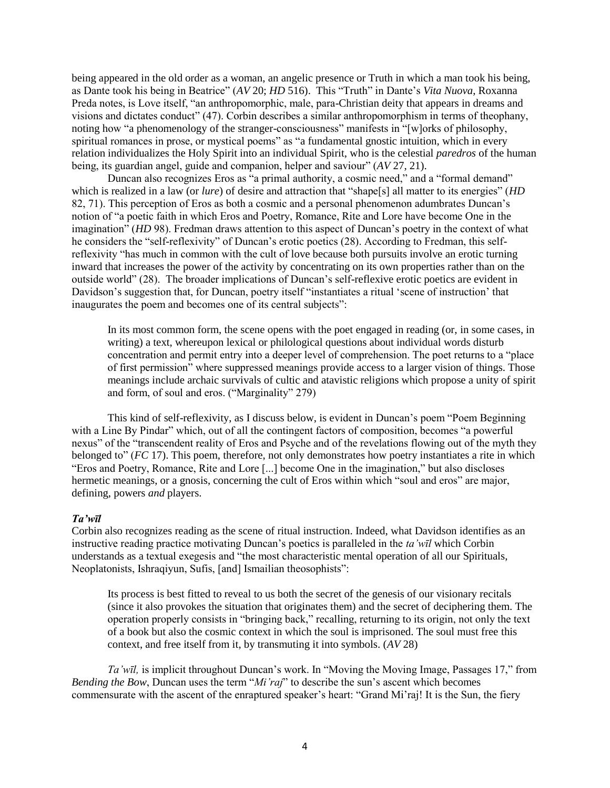being appeared in the old order as a woman, an angelic presence or Truth in which a man took his being, as Dante took his being in Beatrice" (*AV* 20; *HD* 516). This "Truth" in Dante's *Vita Nuova*, Roxanna Preda notes, is Love itself, "an anthropomorphic, male, para-Christian deity that appears in dreams and visions and dictates conduct" (47). Corbin describes a similar anthropomorphism in terms of theophany, noting how "a phenomenology of the stranger-consciousness" manifests in "[w]orks of philosophy, spiritual romances in prose, or mystical poems" as "a fundamental gnostic intuition, which in every relation individualizes the Holy Spirit into an individual Spirit, who is the celestial *paredros* of the human being, its guardian angel, guide and companion, helper and saviour" (*AV* 27, 21).

Duncan also recognizes Eros as "a primal authority, a cosmic need," and a "formal demand" which is realized in a law (or *lure*) of desire and attraction that "shape<sup>[s]</sup> all matter to its energies" (*HD* 82, 71). This perception of Eros as both a cosmic and a personal phenomenon adumbrates Duncan's notion of "a poetic faith in which Eros and Poetry, Romance, Rite and Lore have become One in the imagination" (*HD* 98). Fredman draws attention to this aspect of Duncan's poetry in the context of what he considers the "self-reflexivity" of Duncan's erotic poetics (28). According to Fredman, this selfreflexivity "has much in common with the cult of love because both pursuits involve an erotic turning inward that increases the power of the activity by concentrating on its own properties rather than on the outside world" (28). The broader implications of Duncan's self-reflexive erotic poetics are evident in Davidson's suggestion that, for Duncan, poetry itself "instantiates a ritual 'scene of instruction' that inaugurates the poem and becomes one of its central subjects":

In its most common form, the scene opens with the poet engaged in reading (or, in some cases, in writing) a text, whereupon lexical or philological questions about individual words disturb concentration and permit entry into a deeper level of comprehension. The poet returns to a "place of first permission" where suppressed meanings provide access to a larger vision of things. Those meanings include archaic survivals of cultic and atavistic religions which propose a unity of spirit and form, of soul and eros. ("Marginality" 279)

This kind of self-reflexivity, as I discuss below, is evident in Duncan's poem "Poem Beginning with a Line By Pindar" which, out of all the contingent factors of composition, becomes "a powerful nexus" of the "transcendent reality of Eros and Psyche and of the revelations flowing out of the myth they belonged to" (*FC* 17). This poem, therefore, not only demonstrates how poetry instantiates a rite in which "Eros and Poetry, Romance, Rite and Lore [...] become One in the imagination," but also discloses hermetic meanings, or a gnosis, concerning the cult of Eros within which "soul and eros" are major, defining, powers *and* players.

## *Ta'wīl*

Corbin also recognizes reading as the scene of ritual instruction. Indeed, what Davidson identifies as an instructive reading practice motivating Duncan's poetics is paralleled in the *ta'wīl* which Corbin understands as a textual exegesis and "the most characteristic mental operation of all our Spirituals, Neoplatonists, Ishraqiyun, Sufis, [and] Ismailian theosophists":

Its process is best fitted to reveal to us both the secret of the genesis of our visionary recitals (since it also provokes the situation that originates them) and the secret of deciphering them. The operation properly consists in "bringing back," recalling, returning to its origin, not only the text of a book but also the cosmic context in which the soul is imprisoned. The soul must free this context, and free itself from it, by transmuting it into symbols. (*AV* 28)

*Ta'wīl,* is implicit throughout Duncan's work. In "Moving the Moving Image, Passages 17," from *Bending the Bow*, Duncan uses the term "*Mi'raj*" to describe the sun's ascent which becomes commensurate with the ascent of the enraptured speaker's heart: "Grand Mi'raj! It is the Sun, the fiery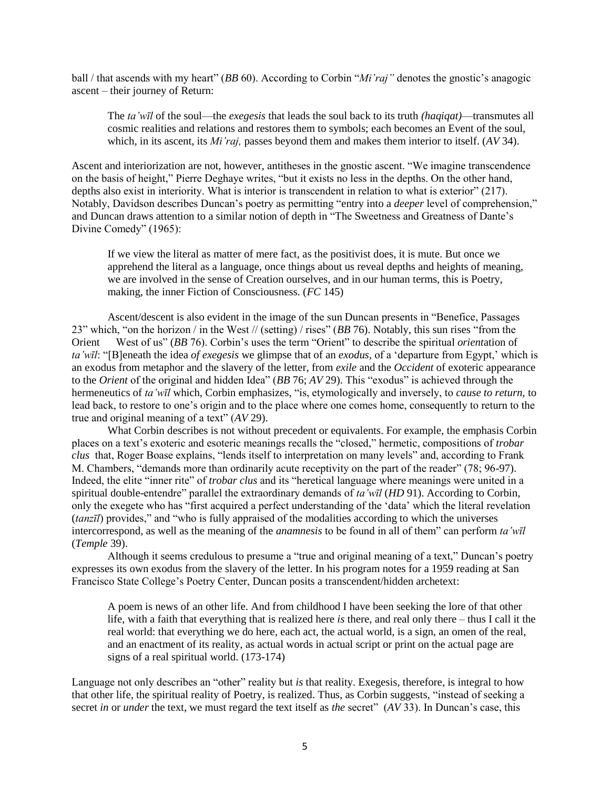ball / that ascends with my heart" (*BB* 60). According to Corbin "*Mi'raj"* denotes the gnostic's anagogic ascent – their journey of Return:

The *ta'wīl* of the soul—the *exegesis* that leads the soul back to its truth *(haqiqat)*—transmutes all cosmic realities and relations and restores them to symbols; each becomes an Event of the soul, which, in its ascent, its *Mi'raj,* passes beyond them and makes them interior to itself. (*AV* 34).

Ascent and interiorization are not, however, antitheses in the gnostic ascent. "We imagine transcendence on the basis of height," Pierre Deghaye writes, "but it exists no less in the depths. On the other hand, depths also exist in interiority. What is interior is transcendent in relation to what is exterior" (217). Notably, Davidson describes Duncan's poetry as permitting "entry into a *deeper* level of comprehension," and Duncan draws attention to a similar notion of depth in "The Sweetness and Greatness of Dante's Divine Comedy" (1965):

If we view the literal as matter of mere fact, as the positivist does, it is mute. But once we apprehend the literal as a language, once things about us reveal depths and heights of meaning, we are involved in the sense of Creation ourselves, and in our human terms, this is Poetry, making, the inner Fiction of Consciousness. (*FC* 145)

Ascent/descent is also evident in the image of the sun Duncan presents in "Benefice, Passages 23" which, "on the horizon / in the West // (setting) / rises" (*BB* 76). Notably, this sun rises "from the Orient West of us" (*BB* 76). Corbin's uses the term "Orient" to describe the spiritual *orient*ation of *ta'wīl*: "[B]eneath the idea *of exegesis* we glimpse that of an *exodus,* of a 'departure from Egypt,' which is an exodus from metaphor and the slavery of the letter, from *exile* and the *Occident* of exoteric appearance to the *Orient* of the original and hidden Idea" (*BB* 76; *AV* 29). This "exodus" is achieved through the hermeneutics of *ta'wīl* which, Corbin emphasizes, "is, etymologically and inversely, to *cause to return,* to lead back, to restore to one's origin and to the place where one comes home, consequently to return to the true and original meaning of a text" (*AV* 29).

What Corbin describes is not without precedent or equivalents. For example, the emphasis Corbin places on a text's exoteric and esoteric meanings recalls the "closed," hermetic, compositions of *trobar clus* that, Roger Boase explains, "lends itself to interpretation on many levels" and, according to Frank M. Chambers, "demands more than ordinarily acute receptivity on the part of the reader" (78; 96-97). Indeed, the elite "inner rite" of *trobar clus* and its "heretical language where meanings were united in a spiritual double-entendre" parallel the extraordinary demands of *ta'wīl* (*HD* 91). According to Corbin, only the exegete who has "first acquired a perfect understanding of the 'data' which the literal revelation (*tanzīl*) provides," and "who is fully appraised of the modalities according to which the universes intercorrespond, as well as the meaning of the *anamnesis* to be found in all of them" can perform *ta'wīl* (*Temple* 39).

Although it seems credulous to presume a "true and original meaning of a text," Duncan's poetry expresses its own exodus from the slavery of the letter. In his program notes for a 1959 reading at San Francisco State College's Poetry Center, Duncan posits a transcendent/hidden archetext:

A poem is news of an other life. And from childhood I have been seeking the lore of that other life, with a faith that everything that is realized here *is* there, and real only there – thus I call it the real world: that everything we do here, each act, the actual world, is a sign, an omen of the real, and an enactment of its reality, as actual words in actual script or print on the actual page are signs of a real spiritual world. (173-174)

Language not only describes an "other" reality but *is* that reality. Exegesis, therefore, is integral to how that other life, the spiritual reality of Poetry, is realized. Thus, as Corbin suggests, "instead of seeking a secret *in* or *under* the text, we must regard the text itself as *the* secret" (*AV* 33). In Duncan's case, this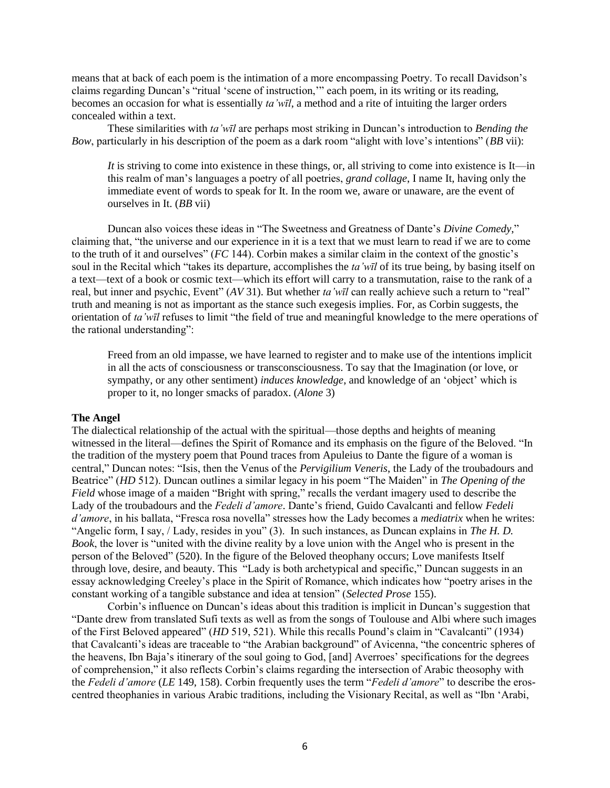means that at back of each poem is the intimation of a more encompassing Poetry. To recall Davidson's claims regarding Duncan's "ritual 'scene of instruction,'" each poem, in its writing or its reading, becomes an occasion for what is essentially *ta'wīl*, a method and a rite of intuiting the larger orders concealed within a text.

These similarities with *ta'wīl* are perhaps most striking in Duncan's introduction to *Bending the Bow*, particularly in his description of the poem as a dark room "alight with love's intentions" (*BB* vii):

*It* is striving to come into existence in these things, or, all striving to come into existence is It—in this realm of man's languages a poetry of all poetries, *grand collage*, I name It, having only the immediate event of words to speak for It. In the room we, aware or unaware, are the event of ourselves in It. (*BB* vii)

Duncan also voices these ideas in "The Sweetness and Greatness of Dante's *Divine Comedy*," claiming that, "the universe and our experience in it is a text that we must learn to read if we are to come to the truth of it and ourselves" (*FC* 144). Corbin makes a similar claim in the context of the gnostic's soul in the Recital which "takes its departure, accomplishes the *ta'wīl* of its true being, by basing itself on a text—text of a book or cosmic text—which its effort will carry to a transmutation, raise to the rank of a real, but inner and psychic, Event" (*AV* 31). But whether *ta'wīl* can really achieve such a return to "real" truth and meaning is not as important as the stance such exegesis implies. For, as Corbin suggests, the orientation of *ta'wīl* refuses to limit "the field of true and meaningful knowledge to the mere operations of the rational understanding":

Freed from an old impasse, we have learned to register and to make use of the intentions implicit in all the acts of consciousness or transconsciousness. To say that the Imagination (or love, or sympathy, or any other sentiment) *induces knowledge*, and knowledge of an 'object' which is proper to it, no longer smacks of paradox. (*Alone* 3)

#### **The Angel**

The dialectical relationship of the actual with the spiritual—those depths and heights of meaning witnessed in the literal—defines the Spirit of Romance and its emphasis on the figure of the Beloved. "In the tradition of the mystery poem that Pound traces from Apuleius to Dante the figure of a woman is central," Duncan notes: "Isis, then the Venus of the *Pervigilium Veneris*, the Lady of the troubadours and Beatrice" (*HD* 512). Duncan outlines a similar legacy in his poem "The Maiden" in *The Opening of the Field* whose image of a maiden "Bright with spring," recalls the verdant imagery used to describe the Lady of the troubadours and the *Fedeli d'amore*. Dante's friend, Guido Cavalcanti and fellow *Fedeli d'amore*, in his ballata, "Fresca rosa novella" stresses how the Lady becomes a *mediatrix* when he writes: "Angelic form, I say, / Lady, resides in you" (3). In such instances, as Duncan explains in *The H. D. Book*, the lover is "united with the divine reality by a love union with the Angel who is present in the person of the Beloved" (520). In the figure of the Beloved theophany occurs; Love manifests Itself through love, desire, and beauty. This "Lady is both archetypical and specific," Duncan suggests in an essay acknowledging Creeley's place in the Spirit of Romance, which indicates how "poetry arises in the constant working of a tangible substance and idea at tension" (*Selected Prose* 155).

Corbin's influence on Duncan's ideas about this tradition is implicit in Duncan's suggestion that "Dante drew from translated Sufi texts as well as from the songs of Toulouse and Albi where such images of the First Beloved appeared" (*HD* 519, 521). While this recalls Pound's claim in "Cavalcanti" (1934) that Cavalcanti's ideas are traceable to "the Arabian background" of Avicenna, "the concentric spheres of the heavens, Ibn Baja's itinerary of the soul going to God, [and] Averroes' specifications for the degrees of comprehension," it also reflects Corbin's claims regarding the intersection of Arabic theosophy with the *Fedeli d'amore* (*LE* 149, 158). Corbin frequently uses the term "*Fedeli d'amore*" to describe the eroscentred theophanies in various Arabic traditions, including the Visionary Recital, as well as "Ibn 'Arabi,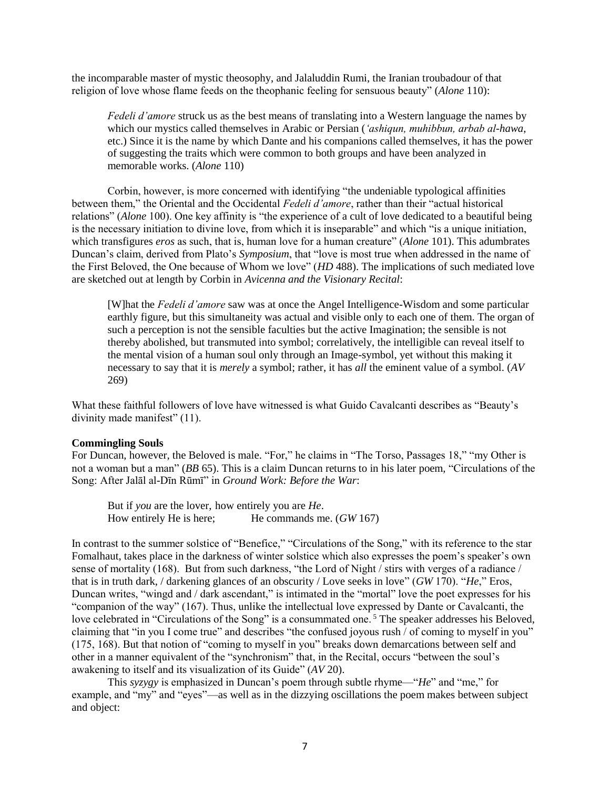the incomparable master of mystic theosophy, and Jalaluddin Rumi, the Iranian troubadour of that religion of love whose flame feeds on the theophanic feeling for sensuous beauty" (*Alone* 110):

*Fedeli d'amore* struck us as the best means of translating into a Western language the names by which our mystics called themselves in Arabic or Persian (*'ashiqun, muhibbun, arbab al-hawa*, etc.) Since it is the name by which Dante and his companions called themselves, it has the power of suggesting the traits which were common to both groups and have been analyzed in memorable works. (*Alone* 110)

Corbin, however, is more concerned with identifying "the undeniable typological affinities between them," the Oriental and the Occidental *Fedeli d'amore*, rather than their "actual historical relations" (*Alone* 100). One key affinity is "the experience of a cult of love dedicated to a beautiful being is the necessary initiation to divine love, from which it is inseparable" and which "is a unique initiation, which transfigures *eros* as such, that is, human love for a human creature" (*Alone* 101). This adumbrates Duncan's claim, derived from Plato's *Symposium*, that "love is most true when addressed in the name of the First Beloved, the One because of Whom we love" (*HD* 488). The implications of such mediated love are sketched out at length by Corbin in *Avicenna and the Visionary Recital*:

[W]hat the *Fedeli d'amore* saw was at once the Angel Intelligence-Wisdom and some particular earthly figure, but this simultaneity was actual and visible only to each one of them. The organ of such a perception is not the sensible faculties but the active Imagination; the sensible is not thereby abolished, but transmuted into symbol; correlatively, the intelligible can reveal itself to the mental vision of a human soul only through an Image-symbol, yet without this making it necessary to say that it is *merely* a symbol; rather, it has *all* the eminent value of a symbol. (*AV* 269)

What these faithful followers of love have witnessed is what Guido Cavalcanti describes as "Beauty's divinity made manifest" (11).

## **Commingling Souls**

For Duncan, however, the Beloved is male. "For," he claims in "The Torso, Passages 18," "my Other is not a woman but a man" (*BB* 65). This is a claim Duncan returns to in his later poem, "Circulations of the Song: After Jalāl al-Dīn Rūmī" in *Ground Work: Before the War*:

But if *you* are the lover, how entirely you are *He*. How entirely He is here; He commands me. (*GW* 167)

In contrast to the summer solstice of "Benefice," "Circulations of the Song," with its reference to the star Fomalhaut, takes place in the darkness of winter solstice which also expresses the poem's speaker's own sense of mortality (168). But from such darkness, "the Lord of Night / stirs with verges of a radiance / that is in truth dark, / darkening glances of an obscurity / Love seeks in love" (*GW* 170). "*He*," Eros, Duncan writes, "wingd and / dark ascendant," is intimated in the "mortal" love the poet expresses for his "companion of the way" (167). Thus, unlike the intellectual love expressed by Dante or Cavalcanti, the love celebrated in "Circulations of the Song" is a consummated one.<sup>5</sup> The speaker addresses his Beloved, claiming that "in you I come true" and describes "the confused joyous rush / of coming to myself in you" (175, 168). But that notion of "coming to myself in you" breaks down demarcations between self and other in a manner equivalent of the "synchronism" that, in the Recital, occurs "between the soul's awakening to itself and its visualization of its Guide" (*AV* 20).

This *syzygy* is emphasized in Duncan's poem through subtle rhyme—"*He*" and "me," for example, and "my" and "eyes"—as well as in the dizzying oscillations the poem makes between subject and object: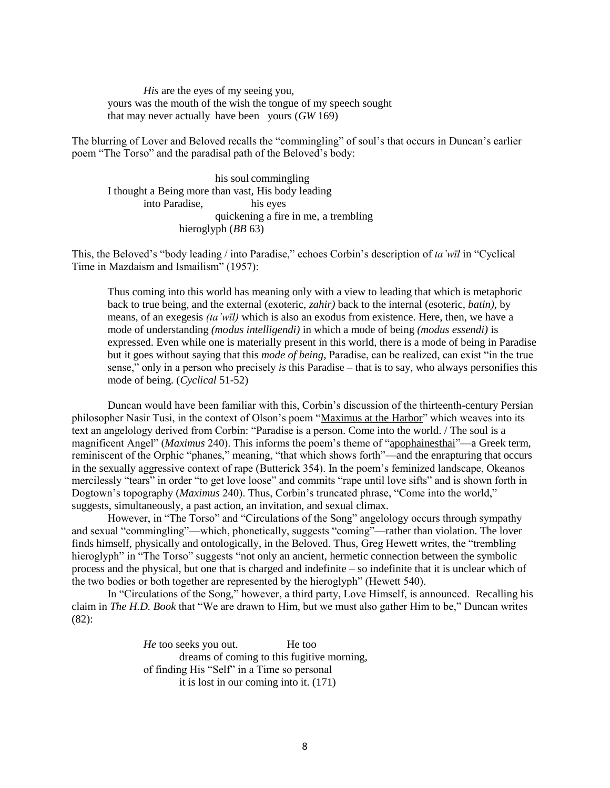*His* are the eyes of my seeing you, yours was the mouth of the wish the tongue of my speech sought that may never actually have been yours (*GW* 169)

The blurring of Lover and Beloved recalls the "commingling" of soul's that occurs in Duncan's earlier poem "The Torso" and the paradisal path of the Beloved's body:

his soul commingling I thought a Being more than vast, His body leading into Paradise, his eyes quickening a fire in me, a trembling hieroglyph (*BB* 63)

This, the Beloved's "body leading / into Paradise," echoes Corbin's description of *ta'wīl* in "Cyclical Time in Mazdaism and Ismailism" (1957):

Thus coming into this world has meaning only with a view to leading that which is metaphoric back to true being, and the external (exoteric, *zahir)* back to the internal (esoteric, *batin),* by means, of an exegesis *(ta'wīl)* which is also an exodus from existence. Here, then, we have a mode of understanding *(modus intelligendi)* in which a mode of being *(modus essendi)* is expressed. Even while one is materially present in this world, there is a mode of being in Paradise but it goes without saying that this *mode of being,* Paradise, can be realized, can exist "in the true sense," only in a person who precisely *is* this Paradise – that is to say, who always personifies this mode of being. (*Cyclical* 51-52)

Duncan would have been familiar with this, Corbin's discussion of the thirteenth-century Persian philosopher Nasir Tusi, in the context of Olson's poem "Maximus at the Harbor" which weaves into its text an angelology derived from Corbin: "Paradise is a person. Come into the world. / The soul is a magnificent Angel" (*Maximus* 240). This informs the poem's theme of "apophainesthai"—a Greek term, reminiscent of the Orphic "phanes," meaning, "that which shows forth"—and the enrapturing that occurs in the sexually aggressive context of rape (Butterick 354). In the poem's feminized landscape, Okeanos mercilessly "tears" in order "to get love loose" and commits "rape until love sifts" and is shown forth in Dogtown's topography (*Maximus* 240). Thus, Corbin's truncated phrase, "Come into the world," suggests, simultaneously, a past action, an invitation, and sexual climax.

However, in "The Torso" and "Circulations of the Song" angelology occurs through sympathy and sexual "commingling"—which, phonetically, suggests "coming"—rather than violation. The lover finds himself, physically and ontologically, in the Beloved. Thus, Greg Hewett writes, the "trembling hieroglyph" in "The Torso" suggests "not only an ancient, hermetic connection between the symbolic process and the physical, but one that is charged and indefinite – so indefinite that it is unclear which of the two bodies or both together are represented by the hieroglyph" (Hewett 540).

In "Circulations of the Song," however, a third party, Love Himself, is announced. Recalling his claim in *The H.D. Book* that "We are drawn to Him, but we must also gather Him to be," Duncan writes (82):

> *He* too seeks you out. He too dreams of coming to this fugitive morning, of finding His "Self" in a Time so personal it is lost in our coming into it. (171)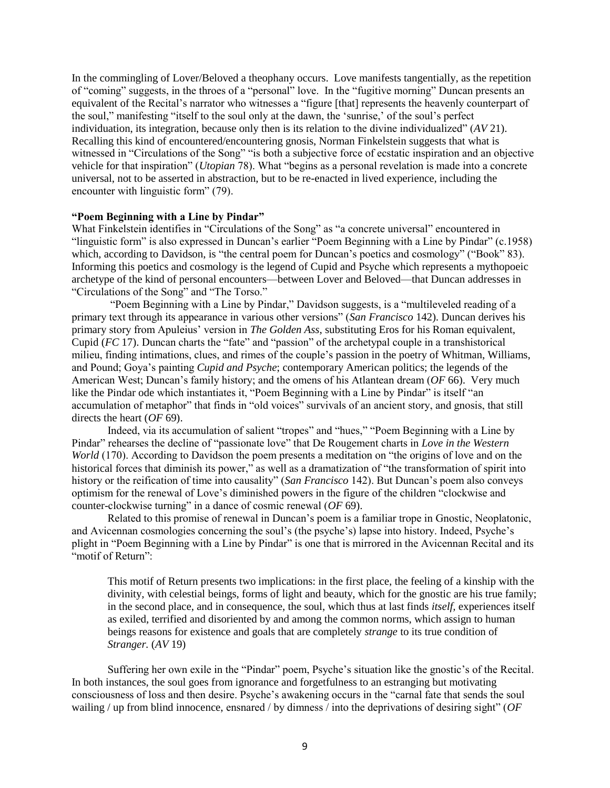In the commingling of Lover/Beloved a theophany occurs. Love manifests tangentially, as the repetition of "coming" suggests, in the throes of a "personal" love. In the "fugitive morning" Duncan presents an equivalent of the Recital's narrator who witnesses a "figure [that] represents the heavenly counterpart of the soul," manifesting "itself to the soul only at the dawn, the 'sunrise,' of the soul's perfect individuation, its integration, because only then is its relation to the divine individualized" (*AV* 21). Recalling this kind of encountered/encountering gnosis, Norman Finkelstein suggests that what is witnessed in "Circulations of the Song" "is both a subjective force of ecstatic inspiration and an objective vehicle for that inspiration" (*Utopian* 78). What "begins as a personal revelation is made into a concrete universal, not to be asserted in abstraction, but to be re-enacted in lived experience, including the encounter with linguistic form" (79).

# **"Poem Beginning with a Line by Pindar"**

What Finkelstein identifies in "Circulations of the Song" as "a concrete universal" encountered in "linguistic form" is also expressed in Duncan's earlier "Poem Beginning with a Line by Pindar" (c.1958) which, according to Davidson, is "the central poem for Duncan's poetics and cosmology" ("Book" 83). Informing this poetics and cosmology is the legend of Cupid and Psyche which represents a mythopoeic archetype of the kind of personal encounters—between Lover and Beloved—that Duncan addresses in "Circulations of the Song" and "The Torso."

"Poem Beginning with a Line by Pindar," Davidson suggests, is a "multileveled reading of a primary text through its appearance in various other versions" (*San Francisco* 142). Duncan derives his primary story from Apuleius' version in *The Golden Ass*, substituting Eros for his Roman equivalent, Cupid (*FC* 17). Duncan charts the "fate" and "passion" of the archetypal couple in a transhistorical milieu, finding intimations, clues, and rimes of the couple's passion in the poetry of Whitman, Williams, and Pound; Goya's painting *Cupid and Psyche*; contemporary American politics; the legends of the American West; Duncan's family history; and the omens of his Atlantean dream (*OF* 66). Very much like the Pindar ode which instantiates it, "Poem Beginning with a Line by Pindar" is itself "an accumulation of metaphor" that finds in "old voices" survivals of an ancient story, and gnosis, that still directs the heart (*OF* 69).

Indeed, via its accumulation of salient "tropes" and "hues," "Poem Beginning with a Line by Pindar" rehearses the decline of "passionate love" that De Rougement charts in *Love in the Western World* (170). According to Davidson the poem presents a meditation on "the origins of love and on the historical forces that diminish its power," as well as a dramatization of "the transformation of spirit into history or the reification of time into causality" (*San Francisco* 142). But Duncan's poem also conveys optimism for the renewal of Love's diminished powers in the figure of the children "clockwise and counter-clockwise turning" in a dance of cosmic renewal (*OF* 69).

Related to this promise of renewal in Duncan's poem is a familiar trope in Gnostic, Neoplatonic, and Avicennan cosmologies concerning the soul's (the psyche's) lapse into history. Indeed, Psyche's plight in "Poem Beginning with a Line by Pindar" is one that is mirrored in the Avicennan Recital and its "motif of Return":

This motif of Return presents two implications: in the first place, the feeling of a kinship with the divinity, with celestial beings, forms of light and beauty, which for the gnostic are his true family; in the second place, and in consequence, the soul, which thus at last finds *itself,* experiences itself as exiled, terrified and disoriented by and among the common norms, which assign to human beings reasons for existence and goals that are completely *strange* to its true condition of *Stranger.* (*AV* 19)

Suffering her own exile in the "Pindar" poem, Psyche's situation like the gnostic's of the Recital. In both instances, the soul goes from ignorance and forgetfulness to an estranging but motivating consciousness of loss and then desire. Psyche's awakening occurs in the "carnal fate that sends the soul wailing / up from blind innocence, ensnared / by dimness / into the deprivations of desiring sight" (*OF*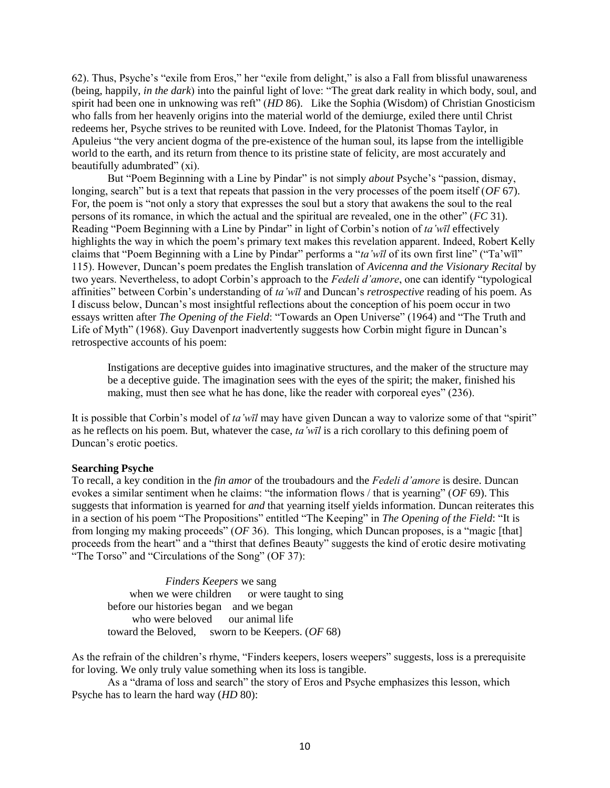62). Thus, Psyche's "exile from Eros," her "exile from delight," is also a Fall from blissful unawareness (being, happily, *in the dark*) into the painful light of love: "The great dark reality in which body, soul, and spirit had been one in unknowing was reft" (*HD* 86). Like the Sophia (Wisdom) of Christian Gnosticism who falls from her heavenly origins into the material world of the demiurge, exiled there until Christ redeems her, Psyche strives to be reunited with Love. Indeed, for the Platonist Thomas Taylor, in Apuleius "the very ancient dogma of the pre-existence of the human soul, its lapse from the intelligible world to the earth, and its return from thence to its pristine state of felicity, are most accurately and beautifully adumbrated" (xi).

But "Poem Beginning with a Line by Pindar" is not simply *about* Psyche's "passion, dismay, longing, search" but is a text that repeats that passion in the very processes of the poem itself (*OF* 67). For, the poem is "not only a story that expresses the soul but a story that awakens the soul to the real persons of its romance, in which the actual and the spiritual are revealed, one in the other" (*FC* 31). Reading "Poem Beginning with a Line by Pindar" in light of Corbin's notion of *ta'wīl* effectively highlights the way in which the poem's primary text makes this revelation apparent. Indeed, Robert Kelly claims that "Poem Beginning with a Line by Pindar" performs a "*ta'wīl* of its own first line" ("Ta'wīl" 115). However, Duncan's poem predates the English translation of *Avicenna and the Visionary Recital* by two years. Nevertheless, to adopt Corbin's approach to the *Fedeli d'amore*, one can identify "typological affinities" between Corbin's understanding of *ta'wīl* and Duncan's *retrospective* reading of his poem. As I discuss below, Duncan's most insightful reflections about the conception of his poem occur in two essays written after *The Opening of the Field*: "Towards an Open Universe" (1964) and "The Truth and Life of Myth" (1968). Guy Davenport inadvertently suggests how Corbin might figure in Duncan's retrospective accounts of his poem:

Instigations are deceptive guides into imaginative structures, and the maker of the structure may be a deceptive guide. The imagination sees with the eyes of the spirit; the maker, finished his making, must then see what he has done, like the reader with corporeal eyes" (236).

It is possible that Corbin's model of *ta'wīl* may have given Duncan a way to valorize some of that "spirit" as he reflects on his poem. But, whatever the case, *ta'wīl* is a rich corollary to this defining poem of Duncan's erotic poetics.

# **Searching Psyche**

To recall, a key condition in the *fin amor* of the troubadours and the *Fedeli d'amore* is desire. Duncan evokes a similar sentiment when he claims: "the information flows / that is yearning" (*OF* 69). This suggests that information is yearned for *and* that yearning itself yields information. Duncan reiterates this in a section of his poem "The Propositions" entitled "The Keeping" in *The Opening of the Field*: "It is from longing my making proceeds" (*OF* 36). This longing, which Duncan proposes, is a "magic [that] proceeds from the heart" and a "thirst that defines Beauty" suggests the kind of erotic desire motivating "The Torso" and "Circulations of the Song" (OF 37):

 *Finders Keepers* we sang when we were children or were taught to sing before our histories began and we began who were beloved our animal life toward the Beloved, sworn to be Keepers. (*OF* 68)

As the refrain of the children's rhyme, "Finders keepers, losers weepers" suggests, loss is a prerequisite for loving. We only truly value something when its loss is tangible.

As a "drama of loss and search" the story of Eros and Psyche emphasizes this lesson, which Psyche has to learn the hard way (*HD* 80):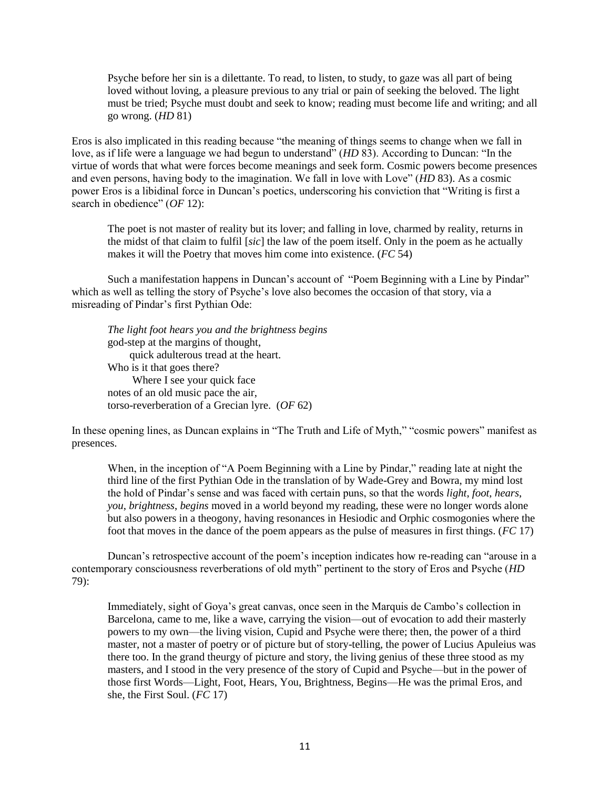Psyche before her sin is a dilettante. To read, to listen, to study, to gaze was all part of being loved without loving, a pleasure previous to any trial or pain of seeking the beloved. The light must be tried; Psyche must doubt and seek to know; reading must become life and writing; and all go wrong. (*HD* 81)

Eros is also implicated in this reading because "the meaning of things seems to change when we fall in love, as if life were a language we had begun to understand" (*HD* 83). According to Duncan: "In the virtue of words that what were forces become meanings and seek form. Cosmic powers become presences and even persons, having body to the imagination. We fall in love with Love" (*HD* 83). As a cosmic power Eros is a libidinal force in Duncan's poetics, underscoring his conviction that "Writing is first a search in obedience" (*OF* 12):

The poet is not master of reality but its lover; and falling in love, charmed by reality, returns in the midst of that claim to fulfil [*sic*] the law of the poem itself. Only in the poem as he actually makes it will the Poetry that moves him come into existence. (*FC* 54)

Such a manifestation happens in Duncan's account of "Poem Beginning with a Line by Pindar" which as well as telling the story of Psyche's love also becomes the occasion of that story, via a misreading of Pindar's first Pythian Ode:

*The light foot hears you and the brightness begins* god-step at the margins of thought, quick adulterous tread at the heart. Who is it that goes there? Where I see your quick face notes of an old music pace the air, torso-reverberation of a Grecian lyre. (*OF* 62)

In these opening lines, as Duncan explains in "The Truth and Life of Myth," "cosmic powers" manifest as presences.

When, in the inception of "A Poem Beginning with a Line by Pindar," reading late at night the third line of the first Pythian Ode in the translation of by Wade-Grey and Bowra, my mind lost the hold of Pindar's sense and was faced with certain puns, so that the words *light*, *foot*, *hears*, *you*, *brightness*, *begins* moved in a world beyond my reading, these were no longer words alone but also powers in a theogony, having resonances in Hesiodic and Orphic cosmogonies where the foot that moves in the dance of the poem appears as the pulse of measures in first things. (*FC* 17)

Duncan's retrospective account of the poem's inception indicates how re-reading can "arouse in a contemporary consciousness reverberations of old myth" pertinent to the story of Eros and Psyche (*HD* 79):

Immediately, sight of Goya's great canvas, once seen in the Marquis de Cambo's collection in Barcelona, came to me, like a wave, carrying the vision—out of evocation to add their masterly powers to my own—the living vision, Cupid and Psyche were there; then, the power of a third master, not a master of poetry or of picture but of story-telling, the power of Lucius Apuleius was there too. In the grand theurgy of picture and story, the living genius of these three stood as my masters, and I stood in the very presence of the story of Cupid and Psyche—but in the power of those first Words—Light, Foot, Hears, You, Brightness, Begins—He was the primal Eros, and she, the First Soul. (*FC* 17)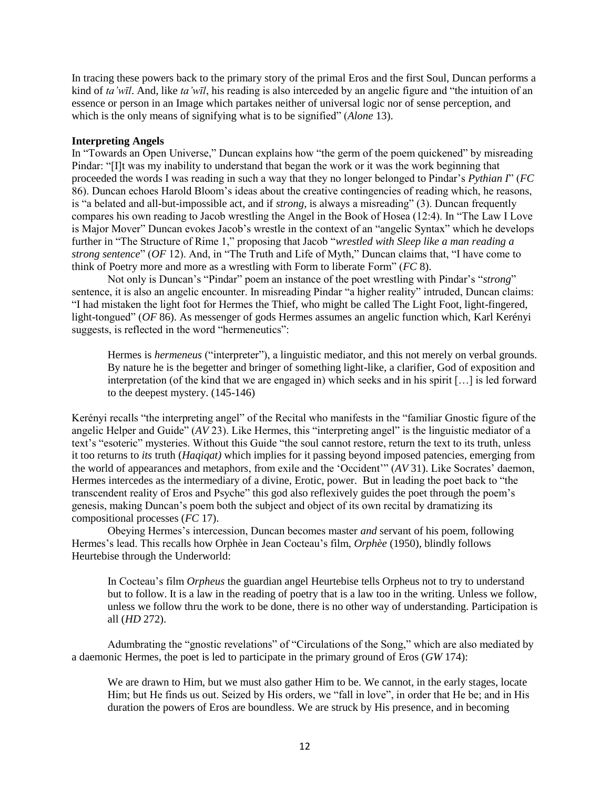In tracing these powers back to the primary story of the primal Eros and the first Soul, Duncan performs a kind of *ta'wīl*. And, like *ta'wīl*, his reading is also interceded by an angelic figure and "the intuition of an essence or person in an Image which partakes neither of universal logic nor of sense perception, and which is the only means of signifying what is to be signified" (*Alone* 13).

# **Interpreting Angels**

In "Towards an Open Universe," Duncan explains how "the germ of the poem quickened" by misreading Pindar: "[I]t was my inability to understand that began the work or it was the work beginning that proceeded the words I was reading in such a way that they no longer belonged to Pindar's *Pythian I*" (*FC* 86). Duncan echoes Harold Bloom's ideas about the creative contingencies of reading which, he reasons, is "a belated and all-but-impossible act, and if *strong*, is always a misreading" (3). Duncan frequently compares his own reading to Jacob wrestling the Angel in the Book of Hosea (12:4). In "The Law I Love is Major Mover" Duncan evokes Jacob's wrestle in the context of an "angelic Syntax" which he develops further in "The Structure of Rime 1," proposing that Jacob "*wrestled with Sleep like a man reading a strong sentence*" (*OF* 12). And, in "The Truth and Life of Myth," Duncan claims that, "I have come to think of Poetry more and more as a wrestling with Form to liberate Form" (*FC* 8).

Not only is Duncan's "Pindar" poem an instance of the poet wrestling with Pindar's "*strong*" sentence, it is also an angelic encounter. In misreading Pindar "a higher reality" intruded, Duncan claims: "I had mistaken the light foot for Hermes the Thief, who might be called The Light Foot, light-fingered, light-tongued" (*OF* 86). As messenger of gods Hermes assumes an angelic function which, Karl Kerényi suggests, is reflected in the word "hermeneutics":

Hermes is *hermeneus* ("interpreter"), a linguistic mediator, and this not merely on verbal grounds. By nature he is the begetter and bringer of something light-like, a clarifier, God of exposition and interpretation (of the kind that we are engaged in) which seeks and in his spirit […] is led forward to the deepest mystery. (145-146)

Kerényi recalls "the interpreting angel" of the Recital who manifests in the "familiar Gnostic figure of the angelic Helper and Guide" (*AV* 23). Like Hermes, this "interpreting angel" is the linguistic mediator of a text's "esoteric" mysteries. Without this Guide "the soul cannot restore, return the text to its truth, unless it too returns to *its* truth (*Haqiqat)* which implies for it passing beyond imposed patencies, emerging from the world of appearances and metaphors, from exile and the 'Occident'" (*AV* 31). Like Socrates' daemon, Hermes intercedes as the intermediary of a divine, Erotic, power. But in leading the poet back to "the transcendent reality of Eros and Psyche" this god also reflexively guides the poet through the poem's genesis, making Duncan's poem both the subject and object of its own recital by dramatizing its compositional processes (*FC* 17).

Obeying Hermes's intercession, Duncan becomes master *and* servant of his poem, following Hermes's lead. This recalls how Orphèe in Jean Cocteau's film, *Orphèe* (1950), blindly follows Heurtebise through the Underworld:

In Cocteau's film *Orpheus* the guardian angel Heurtebise tells Orpheus not to try to understand but to follow. It is a law in the reading of poetry that is a law too in the writing. Unless we follow, unless we follow thru the work to be done, there is no other way of understanding. Participation is all (*HD* 272).

Adumbrating the "gnostic revelations" of "Circulations of the Song," which are also mediated by a daemonic Hermes, the poet is led to participate in the primary ground of Eros (*GW* 174):

We are drawn to Him, but we must also gather Him to be. We cannot, in the early stages, locate Him; but He finds us out. Seized by His orders, we "fall in love", in order that He be; and in His duration the powers of Eros are boundless. We are struck by His presence, and in becoming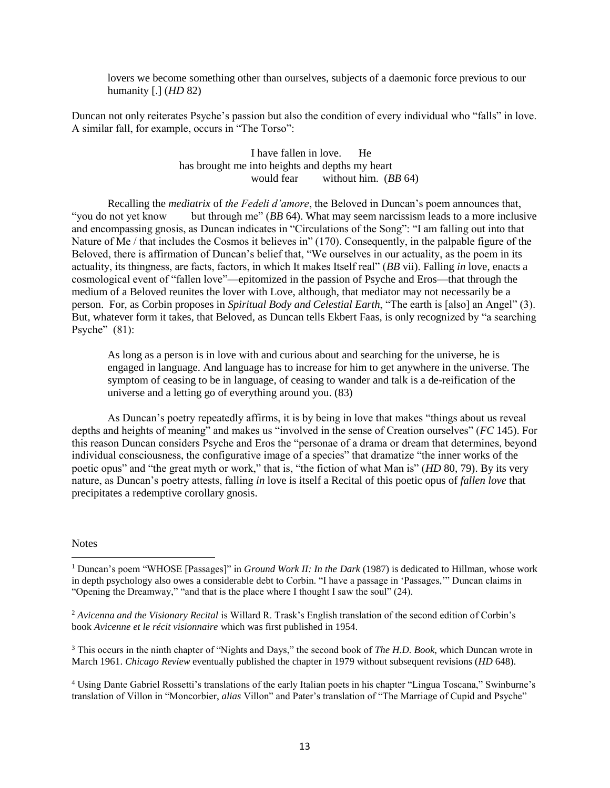lovers we become something other than ourselves, subjects of a daemonic force previous to our humanity [.] (*HD* 82)

Duncan not only reiterates Psyche's passion but also the condition of every individual who "falls" in love. A similar fall, for example, occurs in "The Torso":

> I have fallen in love. He has brought me into heights and depths my heart would fear without him. (*BB* 64)

Recalling the *mediatrix* of *the Fedeli d'amore*, the Beloved in Duncan's poem announces that, "you do not yet know but through me" (*BB* 64). What may seem narcissism leads to a more inclusive and encompassing gnosis, as Duncan indicates in "Circulations of the Song": "I am falling out into that Nature of Me / that includes the Cosmos it believes in" (170). Consequently, in the palpable figure of the Beloved, there is affirmation of Duncan's belief that, "We ourselves in our actuality, as the poem in its actuality, its thingness, are facts, factors, in which It makes Itself real" (*BB* vii). Falling *in* love, enacts a cosmological event of "fallen love"—epitomized in the passion of Psyche and Eros—that through the medium of a Beloved reunites the lover with Love, although, that mediator may not necessarily be a person. For, as Corbin proposes in *Spiritual Body and Celestial Earth*, "The earth is [also] an Angel" (3). But, whatever form it takes, that Beloved, as Duncan tells Ekbert Faas, is only recognized by "a searching Psyche"  $(81)$ :

As long as a person is in love with and curious about and searching for the universe, he is engaged in language. And language has to increase for him to get anywhere in the universe. The symptom of ceasing to be in language, of ceasing to wander and talk is a de-reification of the universe and a letting go of everything around you. (83)

As Duncan's poetry repeatedly affirms, it is by being in love that makes "things about us reveal depths and heights of meaning" and makes us "involved in the sense of Creation ourselves" (*FC* 145). For this reason Duncan considers Psyche and Eros the "personae of a drama or dream that determines, beyond individual consciousness, the configurative image of a species" that dramatize "the inner works of the poetic opus" and "the great myth or work," that is, "the fiction of what Man is" (*HD* 80, 79). By its very nature, as Duncan's poetry attests, falling *in* love is itself a Recital of this poetic opus of *fallen love* that precipitates a redemptive corollary gnosis.

#### **Notes**

 $\overline{\phantom{a}}$ 

<sup>3</sup> This occurs in the ninth chapter of "Nights and Days," the second book of *The H.D. Book*, which Duncan wrote in March 1961. *Chicago Review* eventually published the chapter in 1979 without subsequent revisions (*HD* 648).

<sup>4</sup> Using Dante Gabriel Rossetti's translations of the early Italian poets in his chapter "Lingua Toscana," Swinburne's translation of Villon in "Moncorbier, *alias* Villon" and Pater's translation of "The Marriage of Cupid and Psyche"

<sup>1</sup> Duncan's poem "WHOSE [Passages]" in *Ground Work II: In the Dark* (1987) is dedicated to Hillman, whose work in depth psychology also owes a considerable debt to Corbin. "I have a passage in 'Passages,'" Duncan claims in "Opening the Dreamway," "and that is the place where I thought I saw the soul" (24).

<sup>&</sup>lt;sup>2</sup> Avicenna and the Visionary Recital is Willard R. Trask's English translation of the second edition of Corbin's book *Avicenne et le récit visionnaire* which was first published in 1954.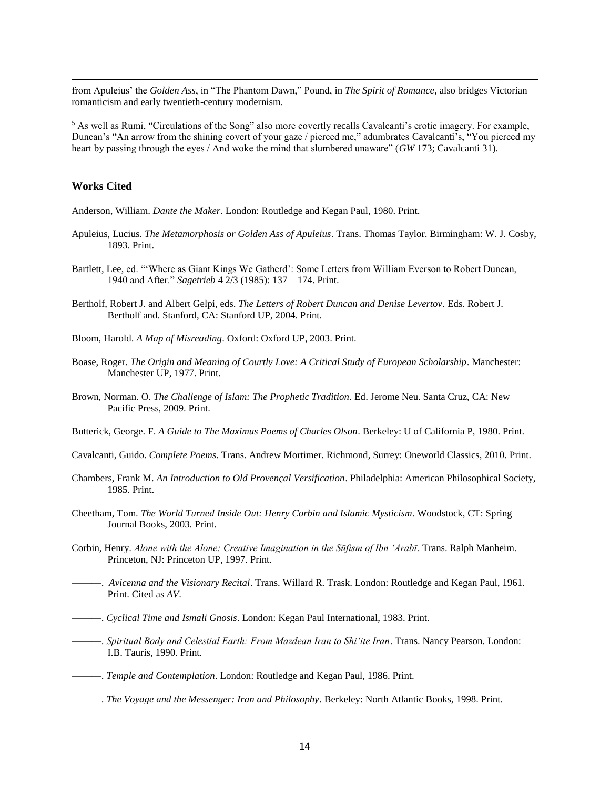from Apuleius' the *Golden Ass*, in "The Phantom Dawn," Pound, in *The Spirit of Romance*, also bridges Victorian romanticism and early twentieth-century modernism.

<sup>5</sup> As well as Rumi, "Circulations of the Song" also more covertly recalls Cavalcanti's erotic imagery. For example, Duncan's "An arrow from the shining covert of your gaze / pierced me," adumbrates Cavalcanti's, "You pierced my heart by passing through the eyes / And woke the mind that slumbered unaware" (*GW* 173; Cavalcanti 31).

#### **Works Cited**

 $\overline{\phantom{a}}$ 

Anderson, William. *Dante the Maker*. London: Routledge and Kegan Paul, 1980. Print.

- Apuleius, Lucius. *The Metamorphosis or Golden Ass of Apuleius*. Trans. Thomas Taylor. Birmingham: W. J. Cosby, 1893. Print.
- Bartlett, Lee, ed. "'Where as Giant Kings We Gatherd': Some Letters from William Everson to Robert Duncan, 1940 and After." *Sagetrieb* 4 2/3 (1985): 137 – 174. Print.
- Bertholf, Robert J. and Albert Gelpi, eds. *The Letters of Robert Duncan and Denise Levertov*. Eds. Robert J. Bertholf and. Stanford, CA: Stanford UP, 2004. Print.
- Bloom, Harold. *A Map of Misreading*. Oxford: Oxford UP, 2003. Print.
- Boase, Roger. *The Origin and Meaning of Courtly Love: A Critical Study of European Scholarship*. Manchester: Manchester UP, 1977. Print.
- Brown, Norman. O. *The Challenge of Islam: The Prophetic Tradition*. Ed. Jerome Neu. Santa Cruz, CA: New Pacific Press, 2009. Print.
- Butterick, George. F. *A Guide to The Maximus Poems of Charles Olson*. Berkeley: U of California P, 1980. Print.
- Cavalcanti, Guido. *Complete Poems*. Trans. Andrew Mortimer. Richmond, Surrey: Oneworld Classics, 2010. Print.
- Chambers, Frank M. *An Introduction to Old Provençal Versification*. Philadelphia: American Philosophical Society, 1985. Print.
- Cheetham, Tom. *The World Turned Inside Out: Henry Corbin and Islamic Mysticism*. Woodstock, CT: Spring Journal Books, 2003. Print.
- Corbin, Henry. *Alone with the Alone: Creative Imagination in the Sūfism of Ibn 'Arabī*. Trans. Ralph Manheim. Princeton, NJ: Princeton UP, 1997. Print.
- ———. *Avicenna and the Visionary Recital*. Trans. Willard R. Trask. London: Routledge and Kegan Paul, 1961. Print. Cited as *AV*.
- ———. *Cyclical Time and Ismali Gnosis*. London: Kegan Paul International, 1983. Print.
- ———. *Spiritual Body and Celestial Earth: From Mazdean Iran to Shi'ite Iran*. Trans. Nancy Pearson. London: I.B. Tauris, 1990. Print.
- ———. *Temple and Contemplation*. London: Routledge and Kegan Paul, 1986. Print.
- ———. *The Voyage and the Messenger: Iran and Philosophy*. Berkeley: North Atlantic Books, 1998. Print.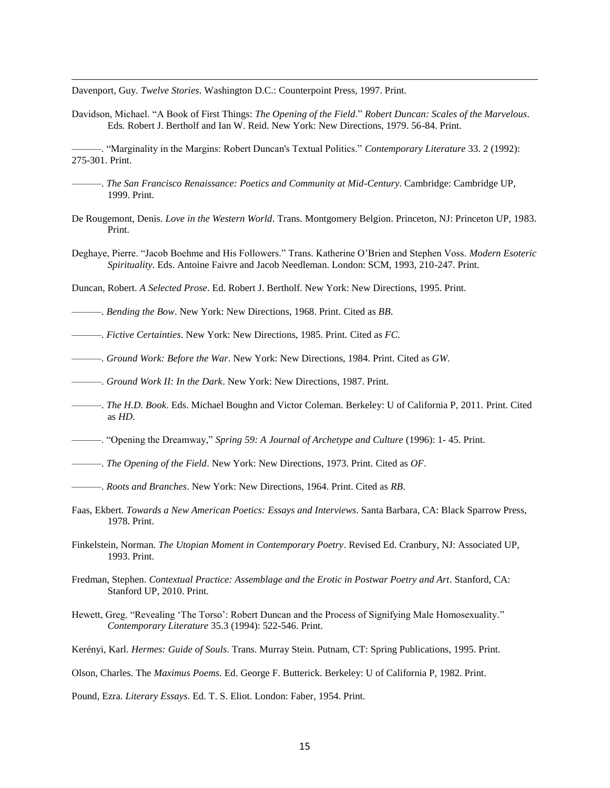Davenport, Guy. *Twelve Stories*. Washington D.C.: Counterpoint Press, 1997. Print.

 $\overline{\phantom{a}}$ 

Davidson, Michael. "A Book of First Things: *The Opening of the Field*." *Robert Duncan: Scales of the Marvelous*. Eds*.* Robert J. Bertholf and Ian W. Reid. New York: New Directions, 1979. 56-84. Print.

———. "Marginality in the Margins: Robert Duncan's Textual Politics." *Contemporary Literature* 33. 2 (1992): 275-301. Print.

- ———. *The San Francisco Renaissance: Poetics and Community at Mid-Century*. Cambridge: Cambridge UP, 1999. Print.
- De Rougemont, Denis. *Love in the Western World*. Trans. Montgomery Belgion. Princeton, NJ: Princeton UP, 1983. Print.
- Deghaye, Pierre. "Jacob Boehme and His Followers." Trans. Katherine O'Brien and Stephen Voss. *Modern Esoteric Spirituality*. Eds. Antoine Faivre and Jacob Needleman. London: SCM, 1993, 210-247. Print.
- Duncan, Robert. *A Selected Prose*. Ed. Robert J. Bertholf. New York: New Directions, 1995. Print.
- ———. *Bending the Bow*. New York: New Directions, 1968. Print. Cited as *BB*.
- ———. *Fictive Certainties*. New York: New Directions, 1985. Print. Cited as *FC*.
- ———. *Ground Work: Before the War*. New York: New Directions, 1984. Print. Cited as *GW*.
- ———. *Ground Work II: In the Dark*. New York: New Directions, 1987. Print.
- ———. *The H.D. Book*. Eds. Michael Boughn and Victor Coleman. Berkeley: U of California P, 2011. Print. Cited as *HD*.
- ———. "Opening the Dreamway," *Spring 59: A Journal of Archetype and Culture* (1996): 1- 45. Print.
- ———. *The Opening of the Field*. New York: New Directions, 1973. Print. Cited as *OF*.
- ———. *Roots and Branches*. New York: New Directions, 1964. Print. Cited as *RB*.
- Faas, Ekbert. *Towards a New American Poetics: Essays and Interviews*. Santa Barbara, CA: Black Sparrow Press, 1978. Print.
- Finkelstein, Norman. *The Utopian Moment in Contemporary Poetry*. Revised Ed. Cranbury, NJ: Associated UP, 1993. Print.
- Fredman, Stephen. *Contextual Practice: Assemblage and the Erotic in Postwar Poetry and Art*. Stanford, CA: Stanford UP, 2010. Print.
- Hewett, Greg. "Revealing 'The Torso': Robert Duncan and the Process of Signifying Male Homosexuality*.*" *Contemporary Literature* 35.3 (1994): 522-546. Print.
- Kerényi, Karl. *Hermes: Guide of Souls*. Trans. Murray Stein. Putnam, CT: Spring Publications, 1995. Print.

Pound, Ezra. *Literary Essays*. Ed. T. S. Eliot. London: Faber, 1954. Print.

Olson, Charles. The *Maximus Poems.* Ed. George F. Butterick. Berkeley: U of California P, 1982. Print.